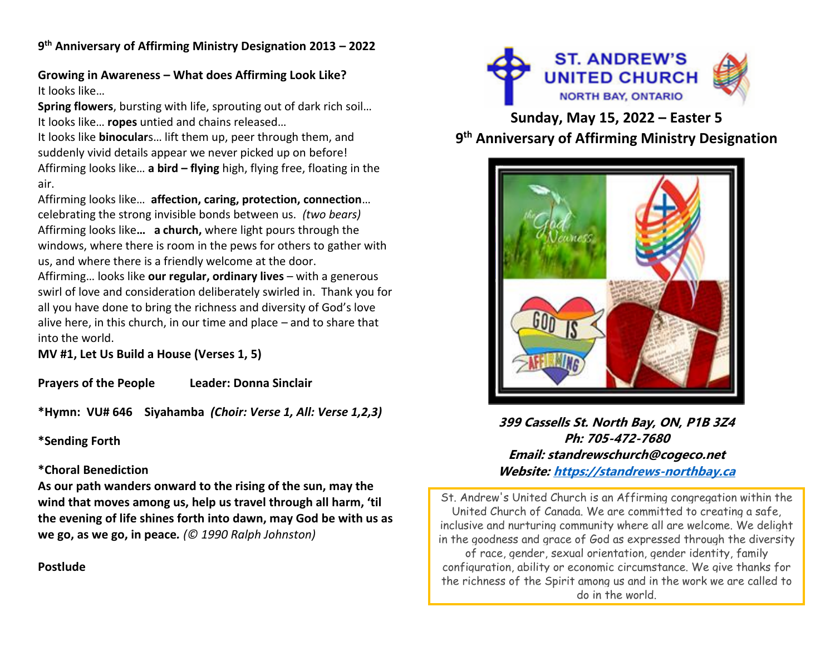**9 th Anniversary of Affirming Ministry Designation 2013 – 2022**

**Growing in Awareness – What does Affirming Look Like?** It looks like…

**Spring flowers**, bursting with life, sprouting out of dark rich soil… It looks like… **ropes** untied and chains released…

It looks like **binocular**s… lift them up, peer through them, and suddenly vivid details appear we never picked up on before! Affirming looks like… **a bird – flying** high, flying free, floating in the air.

Affirming looks like… **affection, caring, protection, connection**… celebrating the strong invisible bonds between us. *(two bears)* Affirming looks like**… a church,** where light pours through the windows, where there is room in the pews for others to gather with us, and where there is a friendly welcome at the door.

Affirming… looks like **our regular, ordinary lives** – with a generous swirl of love and consideration deliberately swirled in. Thank you for all you have done to bring the richness and diversity of God's love alive here, in this church, in our time and place – and to share that into the world.

**MV #1, Let Us Build a House (Verses 1, 5)**

**Prayers of the People Leader: Donna Sinclair**

**\*Hymn: VU# 646 Siyahamba** *(Choir: Verse 1, All: Verse 1,2,3)*

**\*Sending Forth**

# **\*Choral Benediction**

**As our path wanders onward to the rising of the sun, may the wind that moves among us, help us travel through all harm, 'til the evening of life shines forth into dawn, may God be with us as we go, as we go, in peace***. (© 1990 Ralph Johnston)* 





**Sunday, May 15, 2022 – Easter 5 9 th Anniversary of Affirming Ministry Designation**



**399 Cassells St. North Bay, ON, P1B 3Z4 Ph: 705-472-7680 Email: standrewschurch@cogeco.net Website: [https://standrews-northbay.ca](https://standrews-northbay.ca/)**

St. Andrew's United Church is an Affirming congregation within the United Church of Canada. We are committed to creating a safe, inclusive and nurturing community where all are welcome. We delight in the goodness and grace of God as expressed through the diversity of race, gender, sexual orientation, gender identity, family configuration, ability or economic circumstance. We give thanks for the richness of the Spirit among us and in the work we are called to do in the world.